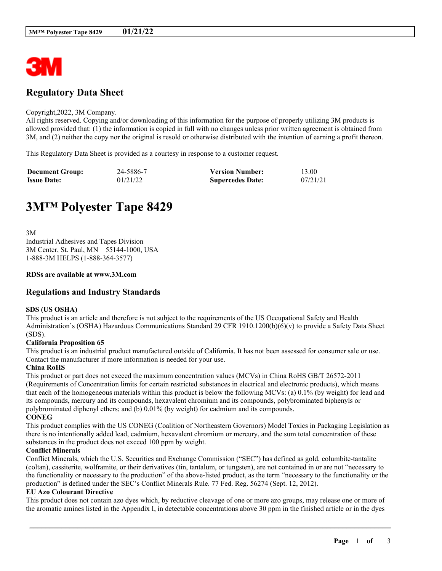

# **Regulatory Data Sheet**

#### Copyright,2022, 3M Company.

All rights reserved. Copying and/or downloading of this information for the purpose of properly utilizing 3M products is allowed provided that: (1) the information is copied in full with no changes unless prior written agreement is obtained from 3M, and (2) neither the copy nor the original is resold or otherwise distributed with the intention of earning a profit thereon.

This Regulatory Data Sheet is provided as a courtesy in response to a customer request.

| <b>Document Group:</b> | 24-5886-7 | <b>Version Number:</b>  | 13.00    |
|------------------------|-----------|-------------------------|----------|
| <b>Issue Date:</b>     | 01/21/22  | <b>Supercedes Date:</b> | 07/21/21 |

# **3M™ Polyester Tape 8429**

3M Industrial Adhesives and Tapes Division 3M Center, St. Paul, MN 55144-1000, USA 1-888-3M HELPS (1-888-364-3577)

#### **RDSs are available at www.3M.com**

## **Regulations and Industry Standards**

#### **SDS (US OSHA)**

This product is an article and therefore is not subject to the requirements of the US Occupational Safety and Health Administration's (OSHA) Hazardous Communications Standard 29 CFR 1910.1200(b)(6)(v) to provide a Safety Data Sheet (SDS).

#### **California Proposition 65**

This product is an industrial product manufactured outside of California. It has not been assessed for consumer sale or use. Contact the manufacturer if more information is needed for your use.

#### **China RoHS**

This product or part does not exceed the maximum concentration values (MCVs) in China RoHS GB/T 26572-2011 (Requirements of Concentration limits for certain restricted substances in electrical and electronic products), which means that each of the homogeneous materials within this product is below the following MCVs: (a) 0.1% (by weight) for lead and its compounds, mercury and its compounds, hexavalent chromium and its compounds, polybrominated biphenyls or polybrominated diphenyl ethers; and (b) 0.01% (by weight) for cadmium and its compounds. **CONEG**

This product complies with the US CONEG (Coalition of Northeastern Governors) Model Toxics in Packaging Legislation as there is no intentionally added lead, cadmium, hexavalent chromium or mercury, and the sum total concentration of these substances in the product does not exceed 100 ppm by weight.

#### **Conflict Minerals**

Conflict Minerals, which the U.S. Securities and Exchange Commission ("SEC") has defined as gold, columbite-tantalite (coltan), cassiterite, wolframite, or their derivatives (tin, tantalum, or tungsten), are not contained in or are not "necessary to the functionality or necessary to the production" of the above-listed product, as the term "necessary to the functionality or the production" is defined under the SEC's Conflict Minerals Rule. 77 Fed. Reg. 56274 (Sept. 12, 2012).

#### **EU Azo Colourant Directive**

This product does not contain azo dyes which, by reductive cleavage of one or more azo groups, may release one or more of the aromatic amines listed in the Appendix I, in detectable concentrations above 30 ppm in the finished article or in the dyes

\_\_\_\_\_\_\_\_\_\_\_\_\_\_\_\_\_\_\_\_\_\_\_\_\_\_\_\_\_\_\_\_\_\_\_\_\_\_\_\_\_\_\_\_\_\_\_\_\_\_\_\_\_\_\_\_\_\_\_\_\_\_\_\_\_\_\_\_\_\_\_\_\_\_\_\_\_\_\_\_\_\_\_\_\_\_\_\_\_\_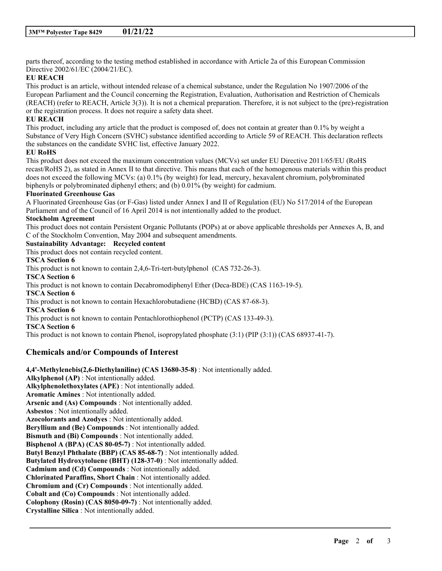parts thereof, according to the testing method established in accordance with Article 2a of this European Commission Directive 2002/61/EC (2004/21/EC).

## **EU REACH**

This product is an article, without intended release of a chemical substance, under the Regulation No 1907/2006 of the European Parliament and the Council concerning the Registration, Evaluation, Authorisation and Restriction of Chemicals (REACH) (refer to REACH, Article 3(3)). It is not a chemical preparation. Therefore, it is not subject to the (pre)-registration or the registration process. It does not require a safety data sheet.

## **EU REACH**

This product, including any article that the product is composed of, does not contain at greater than 0.1% by weight a Substance of Very High Concern (SVHC) substance identified according to Article 59 of REACH. This declaration reflects the substances on the candidate SVHC list, effective January 2022.

## **EU RoHS**

This product does not exceed the maximum concentration values (MCVs) set under EU Directive 2011/65/EU (RoHS recast/RoHS 2), as stated in Annex II to that directive. This means that each of the homogenous materials within this product does not exceed the following MCVs: (a) 0.1% (by weight) for lead, mercury, hexavalent chromium, polybrominated biphenyls or polybrominated diphenyl ethers; and (b) 0.01% (by weight) for cadmium.

## **Fluorinated Greenhouse Gas**

A Fluorinated Greenhouse Gas (or F-Gas) listed under Annex I and II of Regulation (EU) No 517/2014 of the European Parliament and of the Council of 16 April 2014 is not intentionally added to the product.

## **Stockholm Agreement**

This product does not contain Persistent Organic Pollutants (POPs) at or above applicable thresholds per Annexes A, B, and C of the Stockholm Convention, May 2004 and subsequent amendments.

\_\_\_\_\_\_\_\_\_\_\_\_\_\_\_\_\_\_\_\_\_\_\_\_\_\_\_\_\_\_\_\_\_\_\_\_\_\_\_\_\_\_\_\_\_\_\_\_\_\_\_\_\_\_\_\_\_\_\_\_\_\_\_\_\_\_\_\_\_\_\_\_\_\_\_\_\_\_\_\_\_\_\_\_\_\_\_\_\_\_

#### **Sustainability Advantage: Recycled content** This product does not contain recycled content.

**TSCA Section 6**

This product is not known to contain 2,4,6-Tri-tert-butylphenol (CAS 732-26-3). **TSCA Section 6**

This product is not known to contain Decabromodiphenyl Ether (Deca-BDE) (CAS 1163-19-5).

## **TSCA Section 6**

This product is not known to contain Hexachlorobutadiene (HCBD) (CAS 87-68-3).

## **TSCA Section 6**

This product is not known to contain Pentachlorothiophenol (PCTP) (CAS 133-49-3).

**TSCA Section 6**

This product is not known to contain Phenol, isopropylated phosphate (3:1) (PIP (3:1)) (CAS 68937-41-7).

## **Chemicals and/or Compounds of Interest**

**4,4'-Methylenebis(2,6-Diethylaniline) (CAS 13680-35-8)** : Not intentionally added. **Alkylphenol (AP)** : Not intentionally added. **Alkylphenolethoxylates (APE)** : Not intentionally added. **Aromatic Amines** : Not intentionally added. **Arsenic and (As) Compounds** : Not intentionally added. **Asbestos** : Not intentionally added. **Azocolorants and Azodyes** : Not intentionally added. **Beryllium and (Be) Compounds** : Not intentionally added. **Bismuth and (Bi) Compounds** : Not intentionally added. **Bisphenol A (BPA) (CAS 80-05-7)** : Not intentionally added. **Butyl Benzyl Phthalate (BBP) (CAS 85-68-7)** : Not intentionally added. **Butylated Hydroxytoluene (BHT) (128-37-0)** : Not intentionally added. **Cadmium and (Cd) Compounds** : Not intentionally added. **Chlorinated Paraffins, Short Chain** : Not intentionally added. **Chromium and (Cr) Compounds** : Not intentionally added. **Cobalt and (Co) Compounds** : Not intentionally added. **Colophony (Rosin) (CAS 8050-09-7)** : Not intentionally added. **Crystalline Silica** : Not intentionally added.